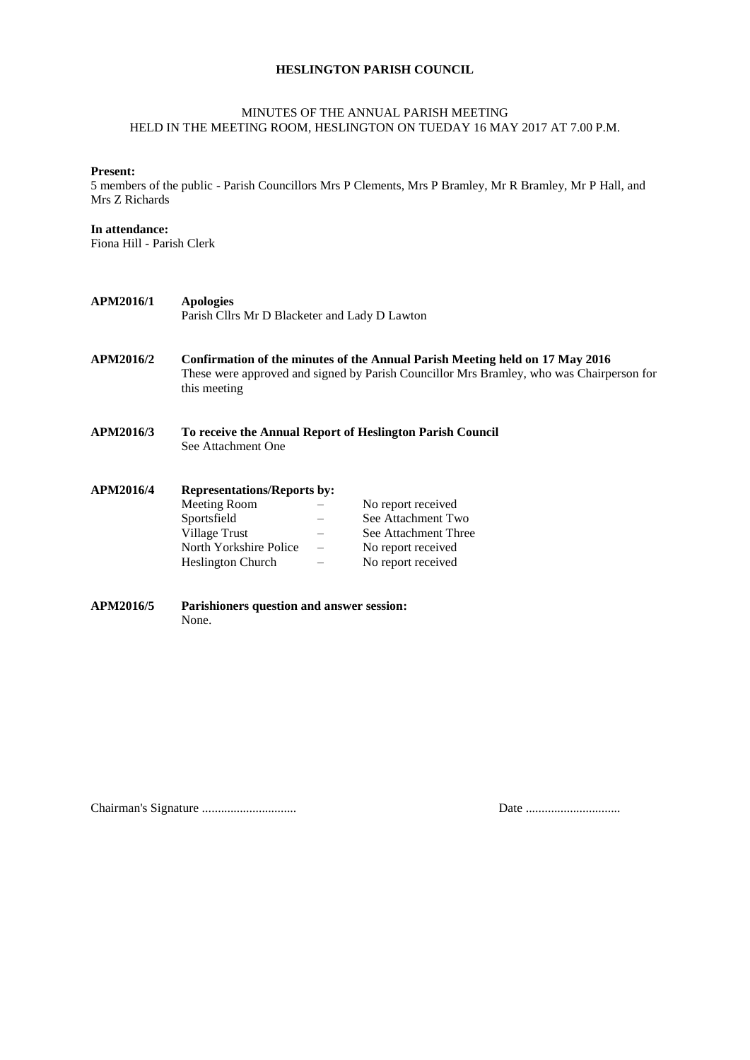## **HESLINGTON PARISH COUNCIL**

#### MINUTES OF THE ANNUAL PARISH MEETING HELD IN THE MEETING ROOM, HESLINGTON ON TUEDAY 16 MAY 2017 AT 7.00 P.M.

#### **Present:**

5 members of the public - Parish Councillors Mrs P Clements, Mrs P Bramley, Mr R Bramley, Mr P Hall, and Mrs Z Richards

## **In attendance:**

Fiona Hill - Parish Clerk

- **APM2016/1 Apologies** Parish Cllrs Mr D Blacketer and Lady D Lawton
- **APM2016/2 Confirmation of the minutes of the Annual Parish Meeting held on 17 May 2016** These were approved and signed by Parish Councillor Mrs Bramley, who was Chairperson for this meeting
- **APM2016/3 To receive the Annual Report of Heslington Parish Council** See Attachment One

| APM2016/4 | <b>Representations/Reports by:</b> |                          |                      |
|-----------|------------------------------------|--------------------------|----------------------|
|           | Meeting Room                       |                          | No report received   |
|           | Sportsfield                        |                          | See Attachment Two   |
|           | Village Trust                      |                          | See Attachment Three |
|           | North Yorkshire Police             | $\overline{\phantom{m}}$ | No report received   |
|           | <b>Heslington Church</b>           |                          | No report received   |

**APM2016/5 Parishioners question and answer session:** None.

Chairman's Signature .............................. Date ..............................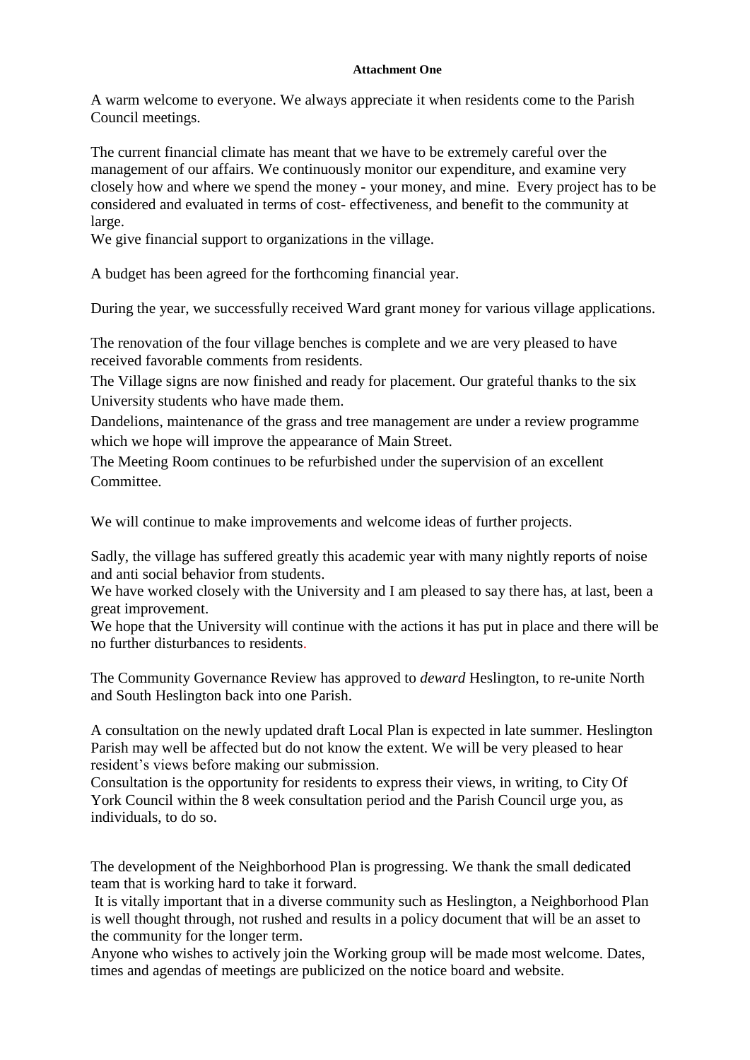# **Attachment One**

A warm welcome to everyone. We always appreciate it when residents come to the Parish Council meetings.

The current financial climate has meant that we have to be extremely careful over the management of our affairs. We continuously monitor our expenditure, and examine very closely how and where we spend the money - your money, and mine. Every project has to be considered and evaluated in terms of cost- effectiveness, and benefit to the community at large.

We give financial support to organizations in the village.

A budget has been agreed for the forthcoming financial year.

During the year, we successfully received Ward grant money for various village applications.

The renovation of the four village benches is complete and we are very pleased to have received favorable comments from residents.

The Village signs are now finished and ready for placement. Our grateful thanks to the six University students who have made them.

Dandelions, maintenance of the grass and tree management are under a review programme which we hope will improve the appearance of Main Street.

The Meeting Room continues to be refurbished under the supervision of an excellent **Committee** 

We will continue to make improvements and welcome ideas of further projects.

Sadly, the village has suffered greatly this academic year with many nightly reports of noise and anti social behavior from students.

We have worked closely with the University and I am pleased to say there has, at last, been a great improvement.

We hope that the University will continue with the actions it has put in place and there will be no further disturbances to residents.

The Community Governance Review has approved to *deward* Heslington, to re-unite North and South Heslington back into one Parish.

A consultation on the newly updated draft Local Plan is expected in late summer. Heslington Parish may well be affected but do not know the extent. We will be very pleased to hear resident's views before making our submission.

Consultation is the opportunity for residents to express their views, in writing, to City Of York Council within the 8 week consultation period and the Parish Council urge you, as individuals, to do so.

The development of the Neighborhood Plan is progressing. We thank the small dedicated team that is working hard to take it forward.

It is vitally important that in a diverse community such as Heslington, a Neighborhood Plan is well thought through, not rushed and results in a policy document that will be an asset to the community for the longer term.

Anyone who wishes to actively join the Working group will be made most welcome. Dates, times and agendas of meetings are publicized on the notice board and website.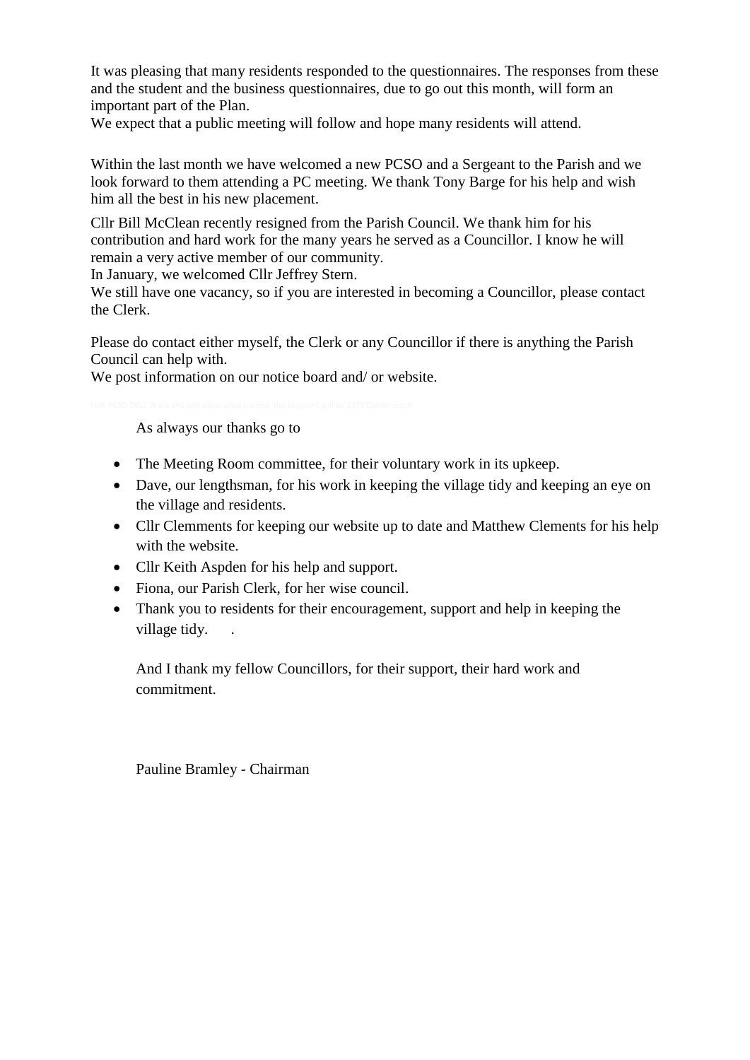It was pleasing that many residents responded to the questionnaires. The responses from these and the student and the business questionnaires, due to go out this month, will form an important part of the Plan.

We expect that a public meeting will follow and hope many residents will attend.

Within the last month we have welcomed a new PCSO and a Sergeant to the Parish and we look forward to them attending a PC meeting. We thank Tony Barge for his help and wish him all the best in his new placement.

Cllr Bill McClean recently resigned from the Parish Council. We thank him for his contribution and hard work for the many years he served as a Councillor. I know he will remain a very active member of our community.

In January, we welcomed Cllr Jeffrey Stern.

We still have one vacancy, so if you are interested in becoming a Councillor, please contact the Clerk.

Please do contact either myself, the Clerk or any Councillor if there is anything the Parish Council can help with.

We post information on our notice board and/ or website.

As always our thanks go to

- The Meeting Room committee, for their voluntary work in its upkeep.
- Dave, our lengthsman, for his work in keeping the village tidy and keeping an eye on the village and residents.
- Cllr Clemments for keeping our website up to date and Matthew Clements for his help with the website.
- Cllr Keith Aspden for his help and support.
- Fiona, our Parish Clerk, for her wise council.
- Thank you to residents for their encouragement, support and help in keeping the village tidy.

And I thank my fellow Councillors, for their support, their hard work and commitment.

Pauline Bramley - Chairman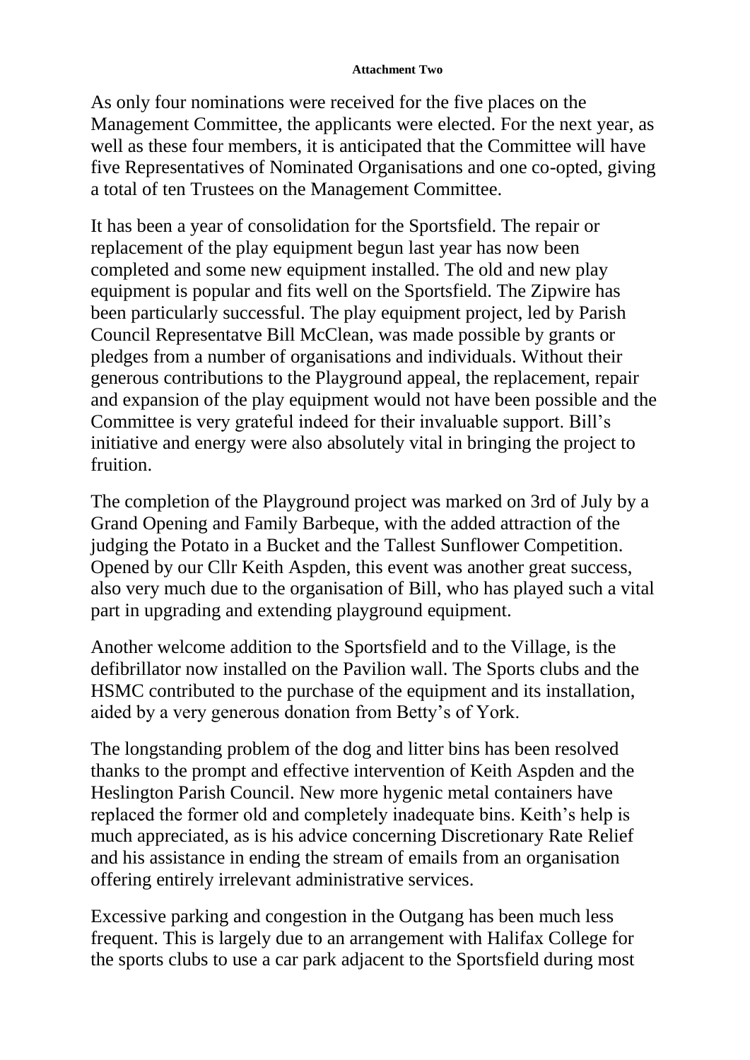# **Attachment Two**

As only four nominations were received for the five places on the Management Committee, the applicants were elected. For the next year, as well as these four members, it is anticipated that the Committee will have five Representatives of Nominated Organisations and one co-opted, giving a total of ten Trustees on the Management Committee.

It has been a year of consolidation for the Sportsfield. The repair or replacement of the play equipment begun last year has now been completed and some new equipment installed. The old and new play equipment is popular and fits well on the Sportsfield. The Zipwire has been particularly successful. The play equipment project, led by Parish Council Representatve Bill McClean, was made possible by grants or pledges from a number of organisations and individuals. Without their generous contributions to the Playground appeal, the replacement, repair and expansion of the play equipment would not have been possible and the Committee is very grateful indeed for their invaluable support. Bill's initiative and energy were also absolutely vital in bringing the project to fruition.

The completion of the Playground project was marked on 3rd of July by a Grand Opening and Family Barbeque, with the added attraction of the judging the Potato in a Bucket and the Tallest Sunflower Competition. Opened by our Cllr Keith Aspden, this event was another great success, also very much due to the organisation of Bill, who has played such a vital part in upgrading and extending playground equipment.

Another welcome addition to the Sportsfield and to the Village, is the defibrillator now installed on the Pavilion wall. The Sports clubs and the HSMC contributed to the purchase of the equipment and its installation, aided by a very generous donation from Betty's of York.

The longstanding problem of the dog and litter bins has been resolved thanks to the prompt and effective intervention of Keith Aspden and the Heslington Parish Council. New more hygenic metal containers have replaced the former old and completely inadequate bins. Keith's help is much appreciated, as is his advice concerning Discretionary Rate Relief and his assistance in ending the stream of emails from an organisation offering entirely irrelevant administrative services.

Excessive parking and congestion in the Outgang has been much less frequent. This is largely due to an arrangement with Halifax College for the sports clubs to use a car park adjacent to the Sportsfield during most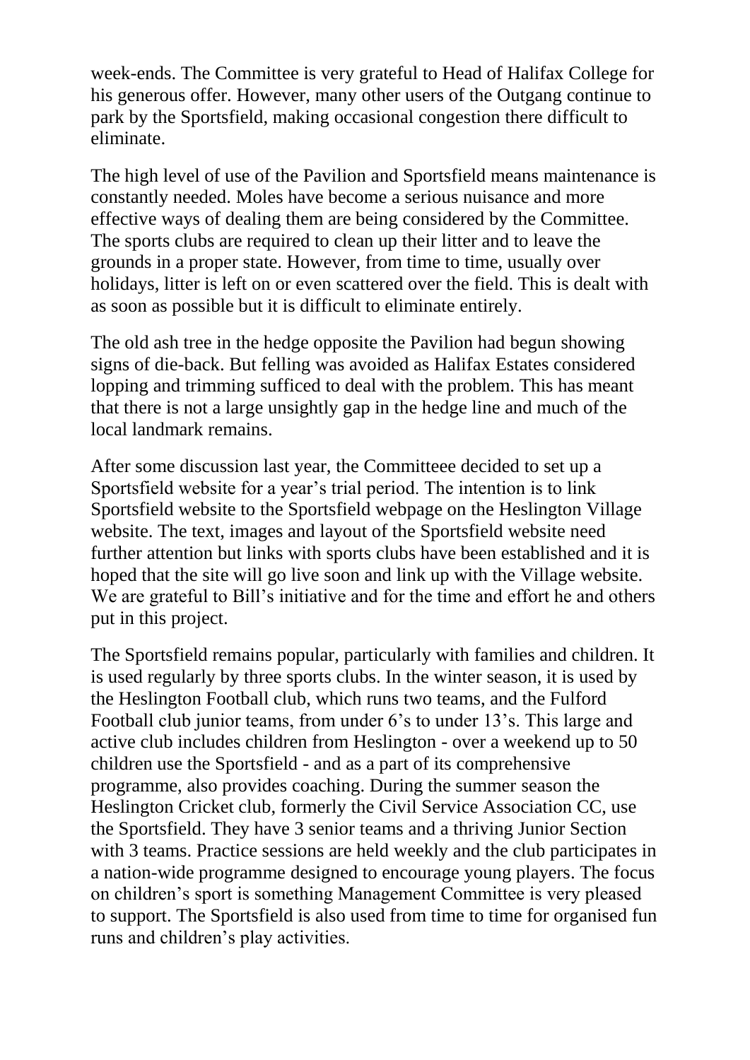week-ends. The Committee is very grateful to Head of Halifax College for his generous offer. However, many other users of the Outgang continue to park by the Sportsfield, making occasional congestion there difficult to eliminate.

The high level of use of the Pavilion and Sportsfield means maintenance is constantly needed. Moles have become a serious nuisance and more effective ways of dealing them are being considered by the Committee. The sports clubs are required to clean up their litter and to leave the grounds in a proper state. However, from time to time, usually over holidays, litter is left on or even scattered over the field. This is dealt with as soon as possible but it is difficult to eliminate entirely.

The old ash tree in the hedge opposite the Pavilion had begun showing signs of die-back. But felling was avoided as Halifax Estates considered lopping and trimming sufficed to deal with the problem. This has meant that there is not a large unsightly gap in the hedge line and much of the local landmark remains.

After some discussion last year, the Committeee decided to set up a Sportsfield website for a year's trial period. The intention is to link Sportsfield website to the Sportsfield webpage on the Heslington Village website. The text, images and layout of the Sportsfield website need further attention but links with sports clubs have been established and it is hoped that the site will go live soon and link up with the Village website. We are grateful to Bill's initiative and for the time and effort he and others put in this project.

The Sportsfield remains popular, particularly with families and children. It is used regularly by three sports clubs. In the winter season, it is used by the Heslington Football club, which runs two teams, and the Fulford Football club junior teams, from under 6's to under 13's. This large and active club includes children from Heslington - over a weekend up to 50 children use the Sportsfield - and as a part of its comprehensive programme, also provides coaching. During the summer season the Heslington Cricket club, formerly the Civil Service Association CC, use the Sportsfield. They have 3 senior teams and a thriving Junior Section with 3 teams. Practice sessions are held weekly and the club participates in a nation-wide programme designed to encourage young players. The focus on children's sport is something Management Committee is very pleased to support. The Sportsfield is also used from time to time for organised fun runs and children's play activities.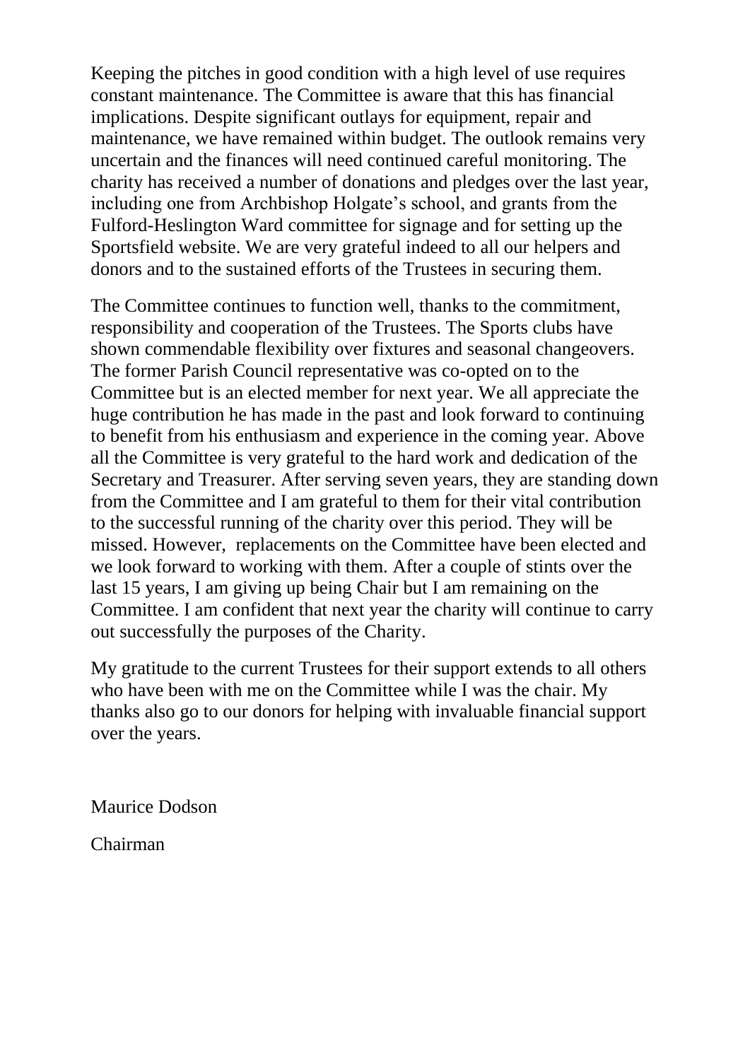Keeping the pitches in good condition with a high level of use requires constant maintenance. The Committee is aware that this has financial implications. Despite significant outlays for equipment, repair and maintenance, we have remained within budget. The outlook remains very uncertain and the finances will need continued careful monitoring. The charity has received a number of donations and pledges over the last year, including one from Archbishop Holgate's school, and grants from the Fulford-Heslington Ward committee for signage and for setting up the Sportsfield website. We are very grateful indeed to all our helpers and donors and to the sustained efforts of the Trustees in securing them.

The Committee continues to function well, thanks to the commitment, responsibility and cooperation of the Trustees. The Sports clubs have shown commendable flexibility over fixtures and seasonal changeovers. The former Parish Council representative was co-opted on to the Committee but is an elected member for next year. We all appreciate the huge contribution he has made in the past and look forward to continuing to benefit from his enthusiasm and experience in the coming year. Above all the Committee is very grateful to the hard work and dedication of the Secretary and Treasurer. After serving seven years, they are standing down from the Committee and I am grateful to them for their vital contribution to the successful running of the charity over this period. They will be missed. However, replacements on the Committee have been elected and we look forward to working with them. After a couple of stints over the last 15 years, I am giving up being Chair but I am remaining on the Committee. I am confident that next year the charity will continue to carry out successfully the purposes of the Charity.

My gratitude to the current Trustees for their support extends to all others who have been with me on the Committee while I was the chair. My thanks also go to our donors for helping with invaluable financial support over the years.

Maurice Dodson

Chairman